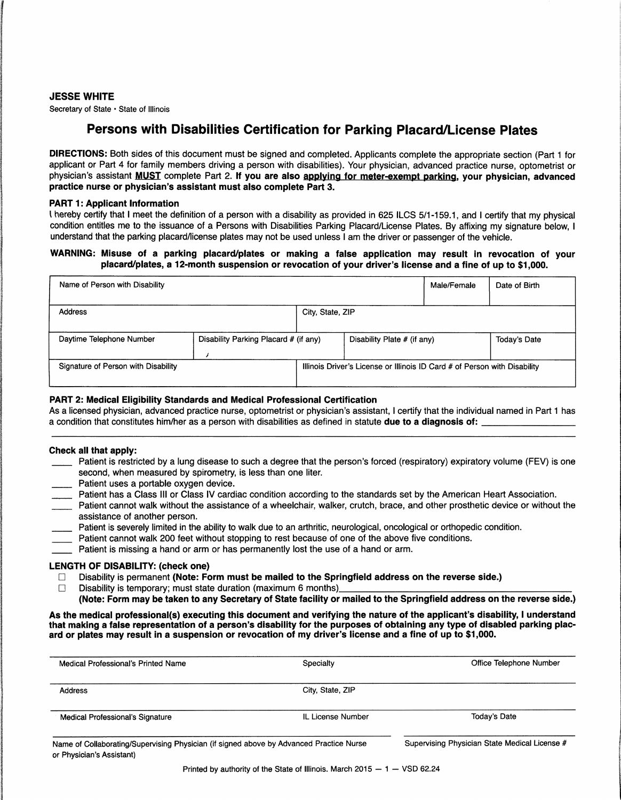### JESSE WHITE

Secretary of State • State of Illinois

# Persons with Disabilities Certification for Parking Placard/License Plates

DIRECTIONS: Both sides of this document must be signed and completed. Applicants complete the appropriate section (Part 1 for applicant or Part 4 for family members driving a person with disabilities). Your physician, advanced practice nurse, optometrist or physician's assistant **MUST** complete Part 2. If you are also applying for meter-exempt parking, your physician, advanced practice nurse or physician's assistant must also complete Part 3.

### PART 1: Applicant Information

I hereby certify that I meet the definition of a person with a disability as provided in 625 ILCS 5/1-159.1, and I certify that my physical condition entitles me to the issuance of a Persons with Disabilities Parking Placard/License Plates. By affixing my signature below, I understand that the parking placard/license plates may not be used unless I am the driver or passenger of the vehicle.

### WARNING: Misuse of a parking placard/plates or making a false application may result in revocation of your placard/plates, a 12-month suspension or revocation of your driver's license and a fine of up to \$1,000.

| Name of Person with Disability      |                                       |                                                                           |                             | Male/Female | Date of Birth |
|-------------------------------------|---------------------------------------|---------------------------------------------------------------------------|-----------------------------|-------------|---------------|
| <b>Address</b>                      |                                       | City, State, ZIP                                                          |                             |             |               |
| Daytime Telephone Number            | Disability Parking Placard # (if any) |                                                                           | Disability Plate # (if any) |             | Today's Date  |
| Signature of Person with Disability |                                       | Illinois Driver's License or Illinois ID Card # of Person with Disability |                             |             |               |

# PART 2: Medical Eligibility Standards and Medical Professional Certification

As a licensed physician, advanced practice nurse, optometrist or physician's assistant, I certify that the individual named in Part 1 has<br>a condition that constitutes him/her as a person with disabilities as defined in sta

### Check all that apply:

- Patient is restricted by a lung disease to such a degree that the person's forced (respiratory) expiratory volume (FEV) is one second, when measured by spirometry, is less than one liter.
- Patient uses a portable oxygen device.
- Patient has a Class III or Class IV cardiac condition according to the standards set by the American Heart Association.
- Patient cannot walk without the assistance of a wheelchair, walker, crutch, brace, and other prosthetic device or without the assistance of another person.
- Patient is severely limited in the ability to walk due to an arthritic, neurological, oncological or orthopedic condition.
- Patient cannot walk 200 feet without stopping to rest because of one of the above five conditions.
- Patient is missing a hand or arm or has permanently lost the use of a hand or arm.

### LENGTH OF DISABILITY: (check one)

D Disability is permanent (Note: Form must be mailed to the Springfield address on the reverse side.) D Disability is temporary; must state duration (maximum 6 months) \_\_\_\_\_\_\_\_\_\_\_\_\_\_\_\_\_\_\_\_ \_

- 
- (Note: Form may be taken to any Secretary of State facility or mailed to the Springfield address on the reverse side.)

As the medical professional(s) executing this document and verifying the nature of the applicant's disability, I understand that making a false representation of a person's disability for the purposes of obtaining any type of disabled parking placard or plates may result in a suspension or revocation of my driver's license and a fine of up to \$1,000.

| Medical Professional's Printed Name                                                                                  | Specialty         | Office Telephone Number                       |
|----------------------------------------------------------------------------------------------------------------------|-------------------|-----------------------------------------------|
| <b>Address</b>                                                                                                       | City, State, ZIP  |                                               |
| <b>Medical Professional's Signature</b>                                                                              | IL License Number | Today's Date                                  |
| Name of Collaborating/Supervising Physician (if signed above by Advanced Practice Nurse<br>or Physician's Assistant) |                   | Supervising Physician State Medical License # |